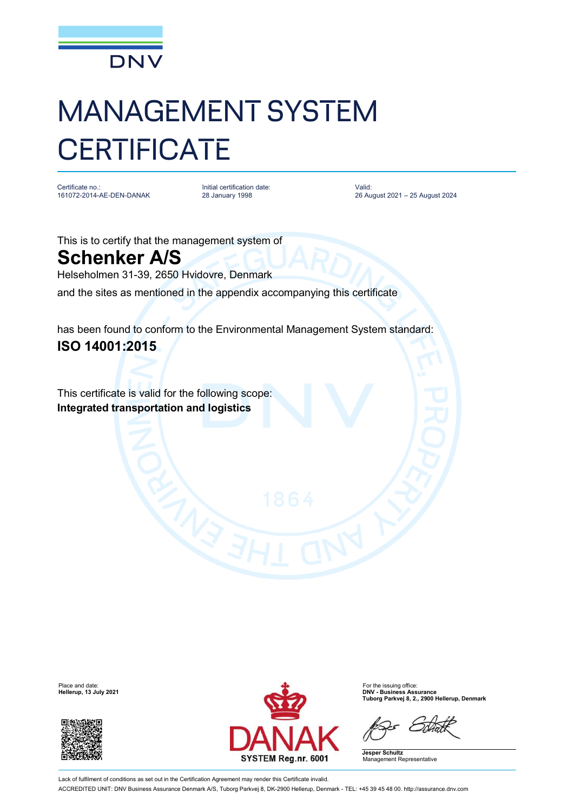

## MANAGEMENT SYSTEM **CERTIFICATE**

Certificate no.: 161072-2014-AE-DEN-DANAK Initial certification date: 28 January 1998

Valid: 26 August 2021 – 25 August 2024

This is to certify that the management system of **Schenker A/S**

Helseholmen 31-39, 2650 Hvidovre, Denmark

and the sites as mentioned in the appendix accompanying this certificate

has been found to conform to the Environmental Management System standard: **ISO 14001:2015**

This certificate is valid for the following scope: **Integrated transportation and logistics**

**Hellerup, 13 July 2021** 





**Tuborg Parkvej 8, 2., 2900 Hellerup, Denmark**

**Jesper Schultz** Management Representative

Lack of fulfilment of conditions as set out in the Certification Agreement may render this Certificate invalid. ACCREDITED UNIT: DNV Business Assurance Denmark A/S, Tuborg Parkvej 8, DK-2900 Hellerup, Denmark - TEL: +45 39 45 48 00. <http://assurance.dnv.com>